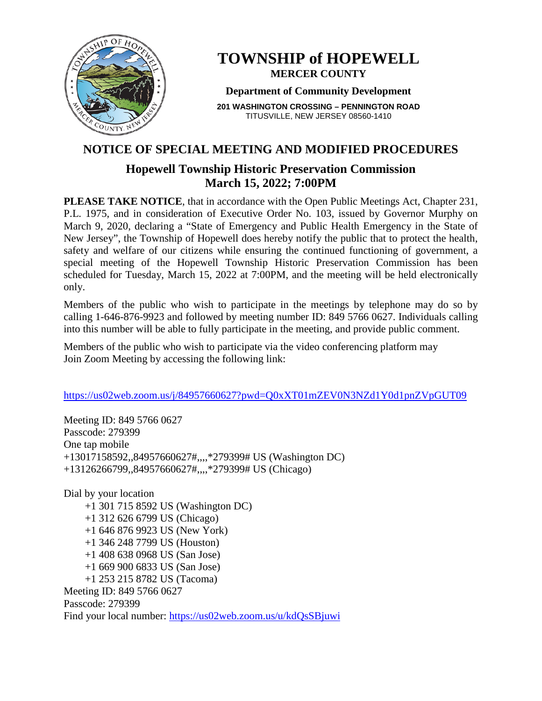

# **TOWNSHIP of HOPEWELL MERCER COUNTY**

### **Department of Community Development**

**201 WASHINGTON CROSSING – PENNINGTON ROAD** TITUSVILLE, NEW JERSEY 08560-1410

# **NOTICE OF SPECIAL MEETING AND MODIFIED PROCEDURES**

# **Hopewell Township Historic Preservation Commission March 15, 2022; 7:00PM**

**PLEASE TAKE NOTICE**, that in accordance with the Open Public Meetings Act, Chapter 231, P.L. 1975, and in consideration of Executive Order No. 103, issued by Governor Murphy on March 9, 2020, declaring a "State of Emergency and Public Health Emergency in the State of New Jersey", the Township of Hopewell does hereby notify the public that to protect the health, safety and welfare of our citizens while ensuring the continued functioning of government, a special meeting of the Hopewell Township Historic Preservation Commission has been scheduled for Tuesday, March 15, 2022 at 7:00PM, and the meeting will be held electronically only.

Members of the public who wish to participate in the meetings by telephone may do so by calling 1-646-876-9923 and followed by meeting number ID: 849 5766 0627. Individuals calling into this number will be able to fully participate in the meeting, and provide public comment.

Members of the public who wish to participate via the video conferencing platform may Join Zoom Meeting by accessing the following link:

### <https://us02web.zoom.us/j/84957660627?pwd=Q0xXT01mZEV0N3NZd1Y0d1pnZVpGUT09>

Meeting ID: 849 5766 0627 Passcode: 279399 One tap mobile +13017158592,,84957660627#,,,,\*279399# US (Washington DC) +13126266799,,84957660627#,,,,\*279399# US (Chicago)

Dial by your location +1 301 715 8592 US (Washington DC) +1 312 626 6799 US (Chicago) +1 646 876 9923 US (New York) +1 346 248 7799 US (Houston) +1 408 638 0968 US (San Jose) +1 669 900 6833 US (San Jose) +1 253 215 8782 US (Tacoma) Meeting ID: 849 5766 0627 Passcode: 279399 Find your local number:<https://us02web.zoom.us/u/kdQsSBjuwi>